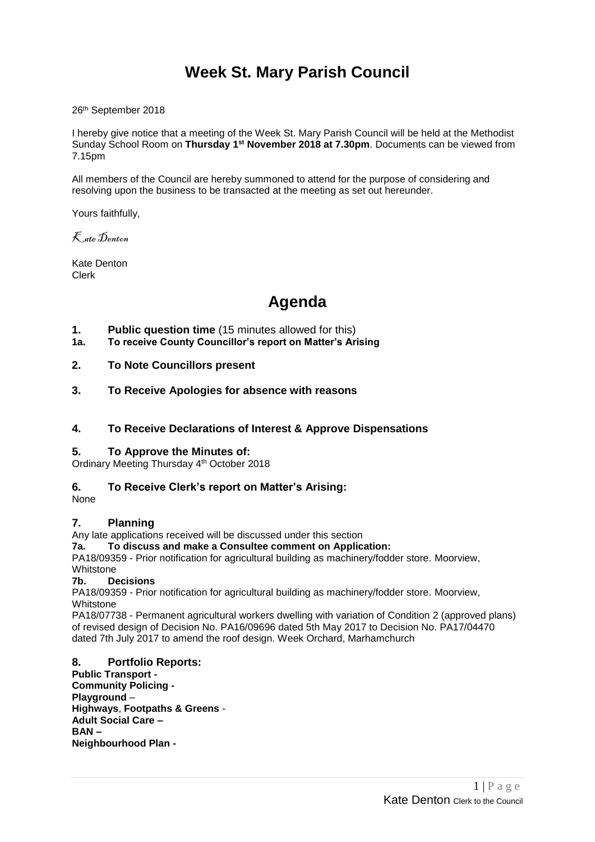## **Week St. Mary Parish Council**

26th September 2018

I hereby give notice that a meeting of the Week St. Mary Parish Council will be held at the Methodist Sunday School Room on **Thursday 1 st November 2018 at 7.30pm**. Documents can be viewed from 7.15pm

All members of the Council are hereby summoned to attend for the purpose of considering and resolving upon the business to be transacted at the meeting as set out hereunder.

Yours faithfully,

Kate Denton

Kate Denton Clerk

# **Agenda**

- **1. Public question time** (15 minutes allowed for this)
- **1a. To receive County Councillor's report on Matter's Arising**
- **2. To Note Councillors present**
- **3. To Receive Apologies for absence with reasons**
- **4. To Receive Declarations of Interest & Approve Dispensations**

### **5. To Approve the Minutes of:**

Ordinary Meeting Thursday 4<sup>th</sup> October 2018

### **6. To Receive Clerk's report on Matter's Arising:**

None

### **7. Planning**

Any late applications received will be discussed under this section

### **7a. To discuss and make a Consultee comment on Application:**

PA18/09359 - Prior notification for agricultural building as machinery/fodder store. Moorview, Whitstone

### **7b. Decisions**

PA18/09359 - Prior notification for agricultural building as machinery/fodder store. Moorview, Whitstone

PA18/07738 - Permanent agricultural workers dwelling with variation of Condition 2 (approved plans) of revised design of Decision No. PA16/09696 dated 5th May 2017 to Decision No. PA17/04470 dated 7th July 2017 to amend the roof design. Week Orchard, Marhamchurch

## **8. Portfolio Reports:**

**Public Transport - Community Policing - Playground** – **Highways**, **Footpaths & Greens** - **Adult Social Care – BAN – Neighbourhood Plan -**